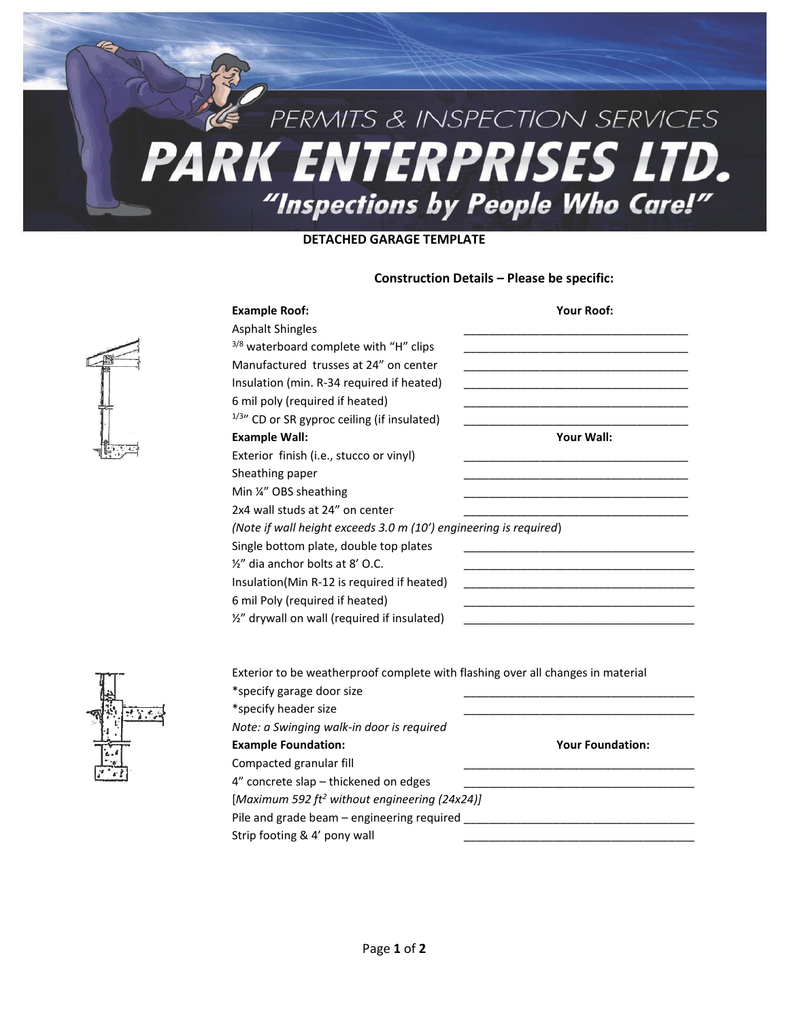# PERMITS & INSPECTION SERVICES **PARK ENTERPRISES LTD.** "Inspections by People Who Care!"

### **DETACHED GARAGE TEMPLATE**

### **Construction Details – Please be specific:**

| <b>Example Roof:</b>                                                            | <b>Your Roof:</b> |
|---------------------------------------------------------------------------------|-------------------|
| <b>Asphalt Shingles</b>                                                         |                   |
| 3/8 waterboard complete with "H" clips                                          |                   |
| Manufactured trusses at 24" on center                                           |                   |
| Insulation (min. R-34 required if heated)                                       |                   |
| 6 mil poly (required if heated)                                                 |                   |
| $1/3$ " CD or SR gyproc ceiling (if insulated)                                  |                   |
| <b>Example Wall:</b>                                                            | Your Wall:        |
| Exterior finish (i.e., stucco or vinyl)                                         |                   |
| Sheathing paper                                                                 |                   |
| Min ¼" OBS sheathing                                                            |                   |
| 2x4 wall studs at 24" on center                                                 |                   |
| (Note if wall height exceeds 3.0 m (10') engineering is required)               |                   |
| Single bottom plate, double top plates                                          |                   |
| 1/2" dia anchor bolts at 8' O.C.                                                |                   |
| Insulation(Min R-12 is required if heated)                                      |                   |
| 6 mil Poly (required if heated)                                                 |                   |
| 1/2" drywall on wall (required if insulated)                                    |                   |
|                                                                                 |                   |
|                                                                                 |                   |
| Exterior to be weatherproof complete with flashing over all changes in material |                   |
| *specify garage door size                                                       |                   |
| $*$ cnocify hoodor cizo                                                         |                   |



| Exterior to be weatherproof complete with flashing over all changes in material |                         |
|---------------------------------------------------------------------------------|-------------------------|
| *specify garage door size                                                       |                         |
| *specify header size                                                            |                         |
| Note: a Swinging walk-in door is required                                       |                         |
| <b>Example Foundation:</b>                                                      | <b>Your Foundation:</b> |
| Compacted granular fill                                                         |                         |
| 4" concrete slap – thickened on edges                                           |                         |
| [Maximum 592 ft <sup>2</sup> without engineering (24x24)]                       |                         |
| Pile and grade beam – engineering required                                      |                         |
| Strip footing & 4' pony wall                                                    |                         |